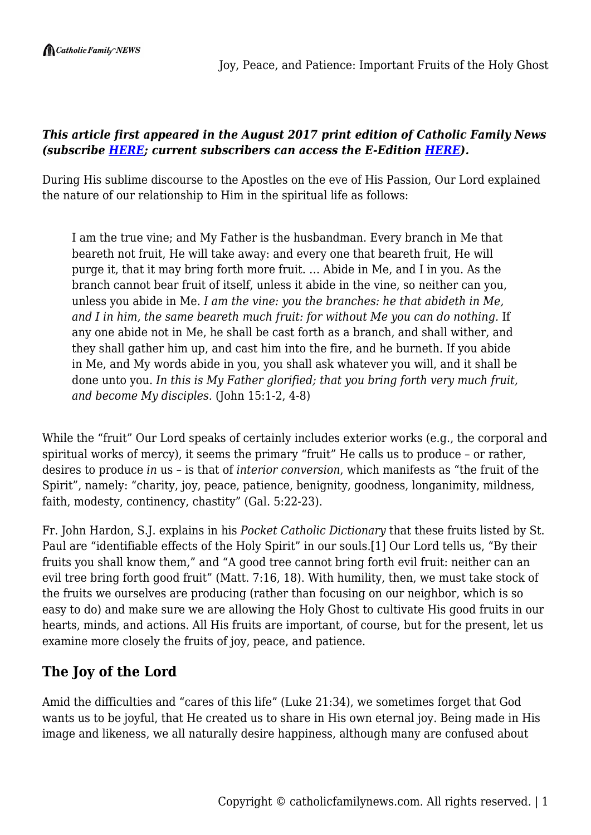Joy, Peace, and Patience: Important Fruits of the Holy Ghost

### *This article first appeared in the August 2017 print edition of Catholic Family News (subscribe [HERE](https://www.catholicfamilynews.com/new-subscription); current subscribers can access the E-Edition [HERE\)](https://catholicfamilynews.com/blog/2021/11/09/cfns-new-e-edition/).*

During His sublime discourse to the Apostles on the eve of His Passion, Our Lord explained the nature of our relationship to Him in the spiritual life as follows:

I am the true vine; and My Father is the husbandman. Every branch in Me that beareth not fruit, He will take away: and every one that beareth fruit, He will purge it, that it may bring forth more fruit. … Abide in Me, and I in you. As the branch cannot bear fruit of itself, unless it abide in the vine, so neither can you, unless you abide in Me. *I am the vine: you the branches: he that abideth in Me, and I in him, the same beareth much fruit: for without Me you can do nothing.* If any one abide not in Me, he shall be cast forth as a branch, and shall wither, and they shall gather him up, and cast him into the fire, and he burneth. If you abide in Me, and My words abide in you, you shall ask whatever you will, and it shall be done unto you. *In this is My Father glorified; that you bring forth very much fruit, and become My disciples.* (John 15:1-2, 4-8)

While the "fruit" Our Lord speaks of certainly includes exterior works (e.g., the corporal and spiritual works of mercy), it seems the primary "fruit" He calls us to produce – or rather, desires to produce *in* us – is that of *interior conversion*, which manifests as "the fruit of the Spirit", namely: "charity, joy, peace, patience, benignity, goodness, longanimity, mildness, faith, modesty, continency, chastity" (Gal. 5:22-23).

Fr. John Hardon, S.J. explains in his *Pocket Catholic Dictionary* that these fruits listed by St. Paul are "identifiable effects of the Holy Spirit" in our souls.[1] Our Lord tells us, "By their fruits you shall know them," and "A good tree cannot bring forth evil fruit: neither can an evil tree bring forth good fruit" (Matt. 7:16, 18). With humility, then, we must take stock of the fruits we ourselves are producing (rather than focusing on our neighbor, which is so easy to do) and make sure we are allowing the Holy Ghost to cultivate His good fruits in our hearts, minds, and actions. All His fruits are important, of course, but for the present, let us examine more closely the fruits of joy, peace, and patience.

# **The Joy of the Lord**

Amid the difficulties and "cares of this life" (Luke 21:34), we sometimes forget that God wants us to be joyful, that He created us to share in His own eternal joy. Being made in His image and likeness, we all naturally desire happiness, although many are confused about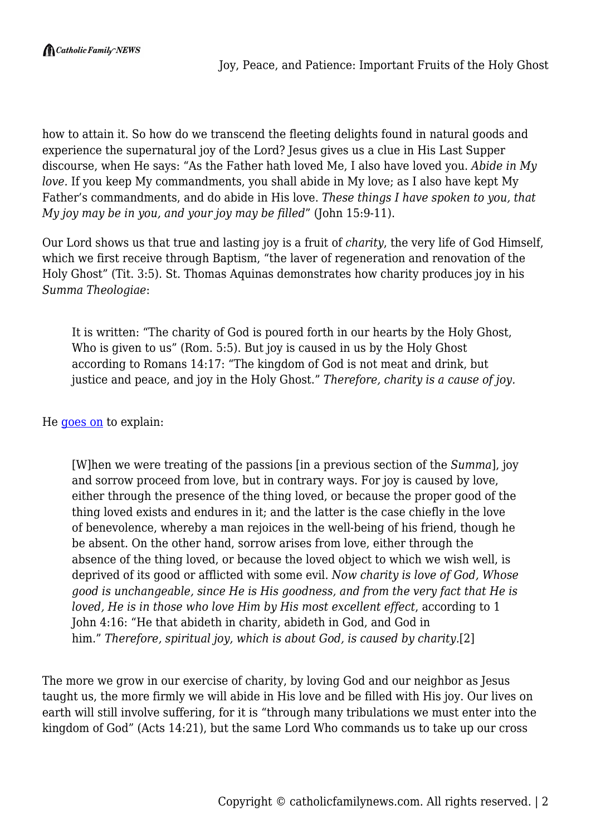how to attain it. So how do we transcend the fleeting delights found in natural goods and experience the supernatural joy of the Lord? Jesus gives us a clue in His Last Supper discourse, when He says: "As the Father hath loved Me, I also have loved you. *Abide in My love.* If you keep My commandments, you shall abide in My love; as I also have kept My Father's commandments, and do abide in His love. *These things I have spoken to you, that My joy may be in you, and your joy may be filled*" (John 15:9-11).

Our Lord shows us that true and lasting joy is a fruit of *charity*, the very life of God Himself, which we first receive through Baptism, "the laver of regeneration and renovation of the Holy Ghost" (Tit. 3:5). St. Thomas Aquinas demonstrates how charity produces joy in his *Summa Theologiae*:

It is written: "The charity of God is poured forth in our hearts by the Holy Ghost, Who is given to us" (Rom. 5:5). But joy is caused in us by the Holy Ghost according to Romans 14:17: "The kingdom of God is not meat and drink, but justice and peace, and joy in the Holy Ghost." *Therefore, charity is a cause of joy.*

#### He [goes on](http://www.newadvent.org/summa/3028.htm) to explain:

[W]hen we were treating of the passions [in a previous section of the *Summa*], joy and sorrow proceed from love, but in contrary ways. For joy is caused by love, either through the presence of the thing loved, or because the proper good of the thing loved exists and endures in it; and the latter is the case chiefly in the love of benevolence, whereby a man rejoices in the well-being of his friend, though he be absent. On the other hand, sorrow arises from love, either through the absence of the thing loved, or because the loved object to which we wish well, is deprived of its good or afflicted with some evil. *Now charity is love of God, Whose good is unchangeable, since He is His goodness, and from the very fact that He is loved, He is in those who love Him by His most excellent effect*, according to 1 John 4:16: "He that abideth in charity, abideth in God, and God in him." *Therefore, spiritual joy, which is about God, is caused by charity.*[2]

The more we grow in our exercise of charity, by loving God and our neighbor as Jesus taught us, the more firmly we will abide in His love and be filled with His joy. Our lives on earth will still involve suffering, for it is "through many tribulations we must enter into the kingdom of God" (Acts 14:21), but the same Lord Who commands us to take up our cross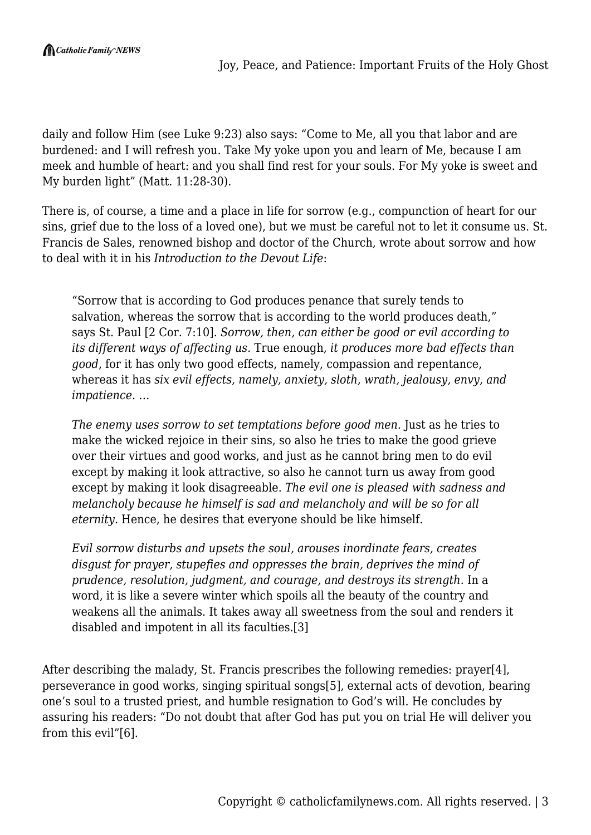daily and follow Him (see Luke 9:23) also says: "Come to Me, all you that labor and are burdened: and I will refresh you. Take My yoke upon you and learn of Me, because I am meek and humble of heart: and you shall find rest for your souls. For My yoke is sweet and My burden light" (Matt. 11:28-30).

There is, of course, a time and a place in life for sorrow (e.g., compunction of heart for our sins, grief due to the loss of a loved one), but we must be careful not to let it consume us. St. Francis de Sales, renowned bishop and doctor of the Church, wrote about sorrow and how to deal with it in his *Introduction to the Devout Life*:

"Sorrow that is according to God produces penance that surely tends to salvation, whereas the sorrow that is according to the world produces death," says St. Paul [2 Cor. 7:10]. *Sorrow, then, can either be good or evil according to its different ways of affecting us.* True enough, *it produces more bad effects than good*, for it has only two good effects, namely, compassion and repentance, whereas it has *six evil effects, namely, anxiety, sloth, wrath, jealousy, envy, and impatience*. …

*The enemy uses sorrow to set temptations before good men.* Just as he tries to make the wicked rejoice in their sins, so also he tries to make the good grieve over their virtues and good works, and just as he cannot bring men to do evil except by making it look attractive, so also he cannot turn us away from good except by making it look disagreeable. *The evil one is pleased with sadness and melancholy because he himself is sad and melancholy and will be so for all eternity.* Hence, he desires that everyone should be like himself.

*Evil sorrow disturbs and upsets the soul, arouses inordinate fears, creates disgust for prayer, stupefies and oppresses the brain, deprives the mind of prudence, resolution, judgment, and courage, and destroys its strength.* In a word, it is like a severe winter which spoils all the beauty of the country and weakens all the animals. It takes away all sweetness from the soul and renders it disabled and impotent in all its faculties.[3]

After describing the malady, St. Francis prescribes the following remedies: prayer[4], perseverance in good works, singing spiritual songs[5], external acts of devotion, bearing one's soul to a trusted priest, and humble resignation to God's will. He concludes by assuring his readers: "Do not doubt that after God has put you on trial He will deliver you from this evil"[6].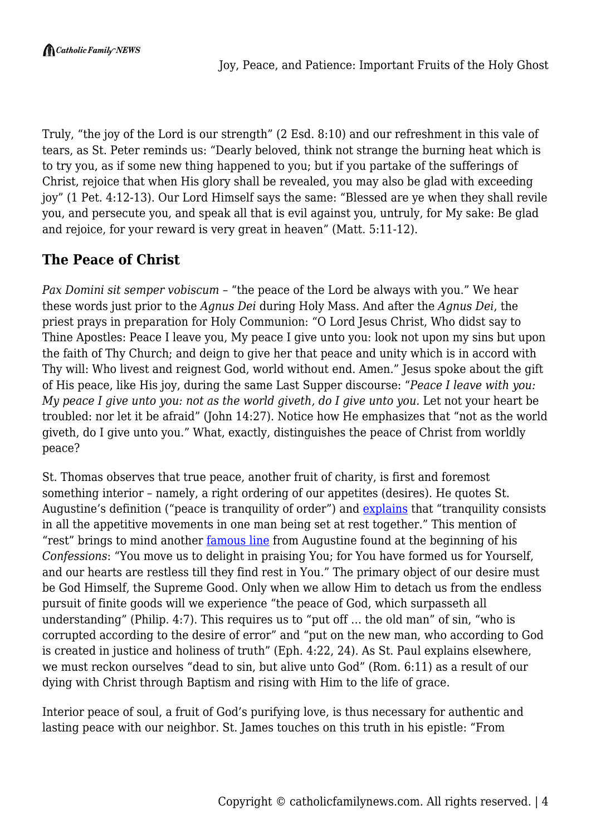Truly, "the joy of the Lord is our strength" (2 Esd. 8:10) and our refreshment in this vale of tears, as St. Peter reminds us: "Dearly beloved, think not strange the burning heat which is to try you, as if some new thing happened to you; but if you partake of the sufferings of Christ, rejoice that when His glory shall be revealed, you may also be glad with exceeding joy" (1 Pet. 4:12-13). Our Lord Himself says the same: "Blessed are ye when they shall revile you, and persecute you, and speak all that is evil against you, untruly, for My sake: Be glad and rejoice, for your reward is very great in heaven" (Matt. 5:11-12).

# **The Peace of Christ**

*Pax Domini sit semper vobiscum* – "the peace of the Lord be always with you." We hear these words just prior to the *Agnus Dei* during Holy Mass. And after the *Agnus Dei*, the priest prays in preparation for Holy Communion: "O Lord Jesus Christ, Who didst say to Thine Apostles: Peace I leave you, My peace I give unto you: look not upon my sins but upon the faith of Thy Church; and deign to give her that peace and unity which is in accord with Thy will: Who livest and reignest God, world without end. Amen." Jesus spoke about the gift of His peace, like His joy, during the same Last Supper discourse: "*Peace I leave with you: My peace I give unto you: not as the world giveth, do I give unto you.* Let not your heart be troubled: nor let it be afraid" (John 14:27). Notice how He emphasizes that "not as the world giveth, do I give unto you." What, exactly, distinguishes the peace of Christ from worldly peace?

St. Thomas observes that true peace, another fruit of charity, is first and foremost something interior – namely, a right ordering of our appetites (desires). He quotes St. Augustine's definition ("peace is tranquility of order") and **explains** that "tranquility consists in all the appetitive movements in one man being set at rest together." This mention of "rest" brings to mind another [famous line](http://www.newadvent.org/fathers/110101.htm) from Augustine found at the beginning of his *Confessions*: "You move us to delight in praising You; for You have formed us for Yourself, and our hearts are restless till they find rest in You." The primary object of our desire must be God Himself, the Supreme Good. Only when we allow Him to detach us from the endless pursuit of finite goods will we experience "the peace of God, which surpasseth all understanding" (Philip. 4:7). This requires us to "put off … the old man" of sin, "who is corrupted according to the desire of error" and "put on the new man, who according to God is created in justice and holiness of truth" (Eph. 4:22, 24). As St. Paul explains elsewhere, we must reckon ourselves "dead to sin, but alive unto God" (Rom. 6:11) as a result of our dying with Christ through Baptism and rising with Him to the life of grace.

Interior peace of soul, a fruit of God's purifying love, is thus necessary for authentic and lasting peace with our neighbor. St. James touches on this truth in his epistle: "From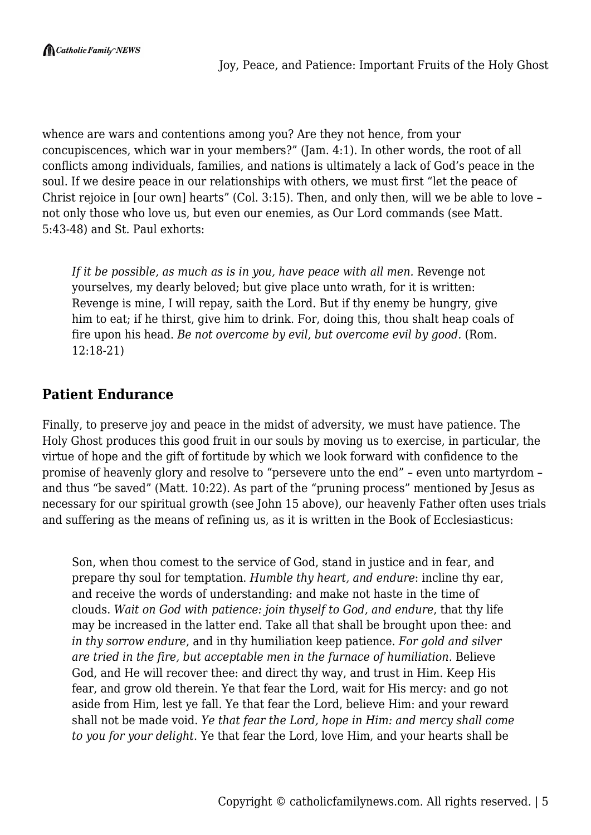whence are wars and contentions among you? Are they not hence, from your concupiscences, which war in your members?" (Jam. 4:1). In other words, the root of all conflicts among individuals, families, and nations is ultimately a lack of God's peace in the soul. If we desire peace in our relationships with others, we must first "let the peace of Christ rejoice in [our own] hearts" (Col. 3:15). Then, and only then, will we be able to love – not only those who love us, but even our enemies, as Our Lord commands (see Matt. 5:43-48) and St. Paul exhorts:

*If it be possible, as much as is in you, have peace with all men.* Revenge not yourselves, my dearly beloved; but give place unto wrath, for it is written: Revenge is mine, I will repay, saith the Lord. But if thy enemy be hungry, give him to eat; if he thirst, give him to drink. For, doing this, thou shalt heap coals of fire upon his head. *Be not overcome by evil, but overcome evil by good.* (Rom. 12:18-21)

### **Patient Endurance**

Finally, to preserve joy and peace in the midst of adversity, we must have patience. The Holy Ghost produces this good fruit in our souls by moving us to exercise, in particular, the virtue of hope and the gift of fortitude by which we look forward with confidence to the promise of heavenly glory and resolve to "persevere unto the end" – even unto martyrdom – and thus "be saved" (Matt. 10:22). As part of the "pruning process" mentioned by Jesus as necessary for our spiritual growth (see John 15 above), our heavenly Father often uses trials and suffering as the means of refining us, as it is written in the Book of Ecclesiasticus:

Son, when thou comest to the service of God, stand in justice and in fear, and prepare thy soul for temptation. *Humble thy heart, and endure*: incline thy ear, and receive the words of understanding: and make not haste in the time of clouds. *Wait on God with patience: join thyself to God, and endure*, that thy life may be increased in the latter end. Take all that shall be brought upon thee: and *in thy sorrow endure*, and in thy humiliation keep patience. *For gold and silver are tried in the fire, but acceptable men in the furnace of humiliation.* Believe God, and He will recover thee: and direct thy way, and trust in Him. Keep His fear, and grow old therein. Ye that fear the Lord, wait for His mercy: and go not aside from Him, lest ye fall. Ye that fear the Lord, believe Him: and your reward shall not be made void. *Ye that fear the Lord, hope in Him: and mercy shall come to you for your delight.* Ye that fear the Lord, love Him, and your hearts shall be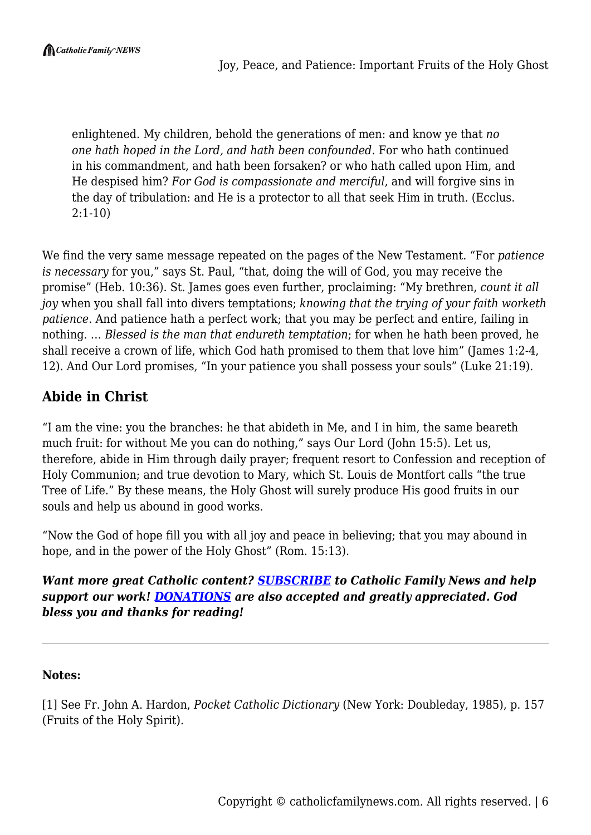enlightened. My children, behold the generations of men: and know ye that *no one hath hoped in the Lord, and hath been confounded*. For who hath continued in his commandment, and hath been forsaken? or who hath called upon Him, and He despised him? *For God is compassionate and merciful*, and will forgive sins in the day of tribulation: and He is a protector to all that seek Him in truth. (Ecclus. 2:1-10)

We find the very same message repeated on the pages of the New Testament. "For *patience is necessary* for you," says St. Paul, "that, doing the will of God, you may receive the promise" (Heb. 10:36). St. James goes even further, proclaiming: "My brethren, *count it all joy* when you shall fall into divers temptations; *knowing that the trying of your faith worketh patience*. And patience hath a perfect work; that you may be perfect and entire, failing in nothing. … *Blessed is the man that endureth temptation*; for when he hath been proved, he shall receive a crown of life, which God hath promised to them that love him" (James 1:2-4, 12). And Our Lord promises, "In your patience you shall possess your souls" (Luke 21:19).

## **Abide in Christ**

"I am the vine: you the branches: he that abideth in Me, and I in him, the same beareth much fruit: for without Me you can do nothing," says Our Lord (John 15:5). Let us, therefore, abide in Him through daily prayer; frequent resort to Confession and reception of Holy Communion; and true devotion to Mary, which St. Louis de Montfort calls "the true Tree of Life." By these means, the Holy Ghost will surely produce His good fruits in our souls and help us abound in good works.

"Now the God of hope fill you with all joy and peace in believing; that you may abound in hope, and in the power of the Holy Ghost" (Rom. 15:13).

### *Want more great Catholic content? [SUBSCRIBE](https://www.catholicfamilynews.com/new-subscription) to Catholic Family News and help support our work! [DONATIONS](https://catholicfamilynews.com/donate/) are also accepted and greatly appreciated. God bless you and thanks for reading!*

#### **Notes:**

[1] See Fr. John A. Hardon, *Pocket Catholic Dictionary* (New York: Doubleday, 1985), p. 157 (Fruits of the Holy Spirit).